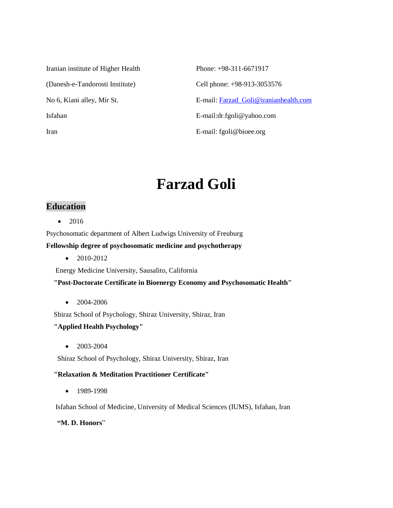Iranian institute of Higher Health (Danesh-e-Tandorosti Institute) No 6, Kiani alley, Mir St. Isfahan

Iran

Phone: +98-311-6671917 Cell phone: +98-913-3053576 E-mail: [Farzad\\_Goli@iranianhealth.com](mailto:Farzad_Goli@iranianhealth.com) E-mail:dr.fgoli@yahoo.com E-mail: fgoli@bioee.org

# **Farzad Goli**

# **Education**

• 2016

Psychosomatic department of Albert Ludwigs University of Freuburg

# **Fellowship degree of psychosomatic medicine and psychotherapy**

 $\bullet$  2010-2012

Energy Medicine University, Sausalito, California

# **"Post-Doctorate Certificate in Bioenergy Economy and Psychosomatic Health"**

 $\bullet$  2004-2006

Shiraz School of Psychology, Shiraz University, Shiraz, Iran

# **"Applied Health Psychology"**

 $\bullet$  2003-2004

Shiraz School of Psychology, Shiraz University, Shiraz, Iran

#### **"Relaxation & Meditation Practitioner Certificate"**

 $-1989-1998$ 

Isfahan School of Medicine, University of Medical Sciences (IUMS), Isfahan, Iran

#### **"M. D. Honors**"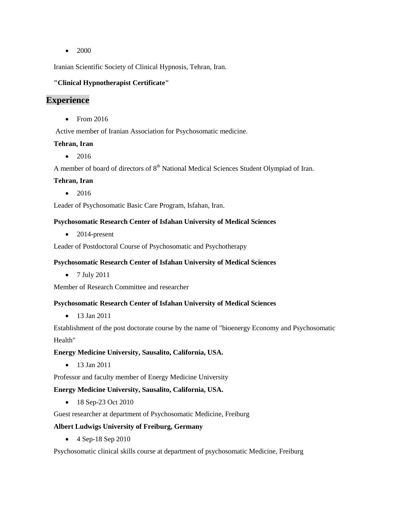$\bullet$  2000

Iranian Scientific Society of Clinical Hypnosis, Tehran, Iran.

# **"Clinical Hypnotherapist Certificate"**

# **Experience**

• From 2016

Active member of Iranian Association for Psychosomatic medicine.

# **Tehran, Iran**

 $• 2016$ 

A member of board of directors of  $8<sup>th</sup>$  National Medical Sciences Student Olympiad of Iran.

# **Tehran, Iran**

 $• 2016$ 

Leader of Psychosomatic Basic Care Program, Isfahan, Iran.

# **Psychosomatic Research Center of Isfahan University of Medical Sciences**

 $\bullet$  2014-present

Leader of Postdoctoral Course of Psychosomatic and Psychotherapy

# **Psychosomatic Research Center of Isfahan University of Medical Sciences**

 $\bullet$  7 July 2011

Member of Research Committee and researcher

#### **Psychosomatic Research Center of Isfahan University of Medical Sciences**

 $\bullet$  13 Jan 2011

Establishment of the post doctorate course by the name of "bioenergy Economy and Psychosomatic Health"

# **Energy Medicine University, Sausalito, California, USA.**

• 13 Jan 2011

Professor and faculty member of Energy Medicine University

# **Energy Medicine University, Sausalito, California, USA.**

• 18 Sep-23 Oct 2010

Guest researcher at department of Psychosomatic Medicine, Freiburg

# **Albert Ludwigs University of Freiburg, Germany**

 $\bullet$  4 Sep-18 Sep 2010

Psychosomatic clinical skills course at department of psychosomatic Medicine, Freiburg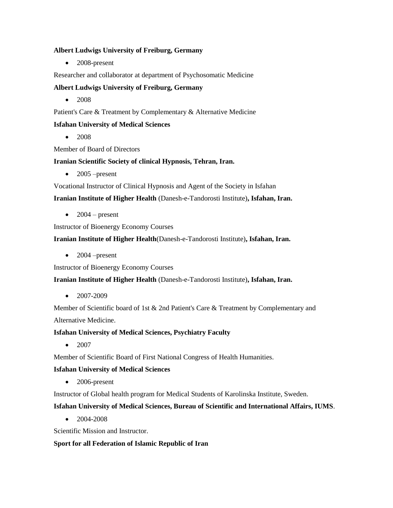# **Albert Ludwigs University of Freiburg, Germany**

• 2008-present

Researcher and collaborator at department of Psychosomatic Medicine

# **Albert Ludwigs University of Freiburg, Germany**

 $\bullet$  2008

Patient's Care & Treatment by Complementary & Alternative Medicine

# **Isfahan University of Medical Sciences**

 $\bullet$  2008

Member of Board of Directors

# **Iranian Scientific Society of clinical Hypnosis, Tehran, Iran.**

 $\bullet$  2005 – present

Vocational Instructor of Clinical Hypnosis and Agent of the Society in Isfahan

**Iranian Institute of Higher Health** (Danesh-e-Tandorosti Institute)**, Isfahan, Iran.**

 $\bullet$  2004 – present

Instructor of Bioenergy Economy Courses

**Iranian Institute of Higher Health**(Danesh-e-Tandorosti Institute)**, Isfahan, Iran.**

 $\bullet$  2004 – present

Instructor of Bioenergy Economy Courses

**Iranian Institute of Higher Health** (Danesh-e-Tandorosti Institute)**, Isfahan, Iran.**

 $\bullet$  2007-2009

Member of Scientific board of 1st & 2nd Patient's Care & Treatment by Complementary and Alternative Medicine.

#### **Isfahan University of Medical Sciences, Psychiatry Faculty**

 $\bullet$  2007

Member of Scientific Board of First National Congress of Health Humanities.

# **Isfahan University of Medical Sciences**

• 2006-present

Instructor of Global health program for Medical Students of Karolinska Institute, Sweden.

#### **Isfahan University of Medical Sciences, Bureau of Scientific and International Affairs, IUMS**.

 $\bullet$  2004-2008

Scientific Mission and Instructor.

#### **Sport for all Federation of Islamic Republic of Iran**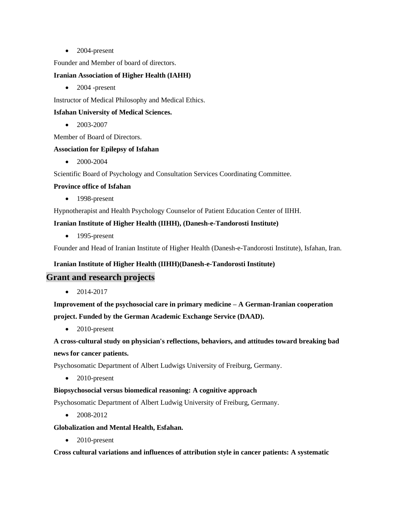$\bullet$  2004-present

Founder and Member of board of directors.

#### **Iranian Association of Higher Health (IAHH)**

 $\bullet$  2004 -present

Instructor of Medical Philosophy and Medical Ethics.

# **Isfahan University of Medical Sciences.**

 $\bullet$  2003-2007

Member of Board of Directors.

# **Association for Epilepsy of Isfahan**

 $\bullet$  2000-2004

Scientific Board of Psychology and Consultation Services Coordinating Committee.

#### **Province office of Isfahan**

 $-1998$ -present

Hypnotherapist and Health Psychology Counselor of Patient Education Center of IIHH.

# **Iranian Institute of Higher Health (IIHH), (Danesh-e-Tandorosti Institute)**

 $\bullet$  1995-present

Founder and Head of Iranian Institute of Higher Health (Danesh-e-Tandorosti Institute), Isfahan, Iran.

#### **Iranian Institute of Higher Health (IIHH)(Danesh-e-Tandorosti Institute)**

# **Grant and research projects**

 $\bullet$  2014-2017

**Improvement of the psychosocial care in primary medicine – A German-Iranian cooperation project. Funded by the German Academic Exchange Service (DAAD).**

• 2010-present

# **A cross-cultural study on physician's reflections, behaviors, and attitudes toward breaking bad news for cancer patients.**

Psychosomatic Department of Albert Ludwigs University of Freiburg, Germany.

• 2010-present

#### **Biopsychosocial versus biomedical reasoning: A cognitive approach**

Psychosomatic Department of Albert Ludwig University of Freiburg, Germany.

 $\bullet$  2008-2012

#### **Globalization and Mental Health, Esfahan.**

• 2010-present

#### **Cross cultural variations and influences of attribution style in cancer patients: A systematic**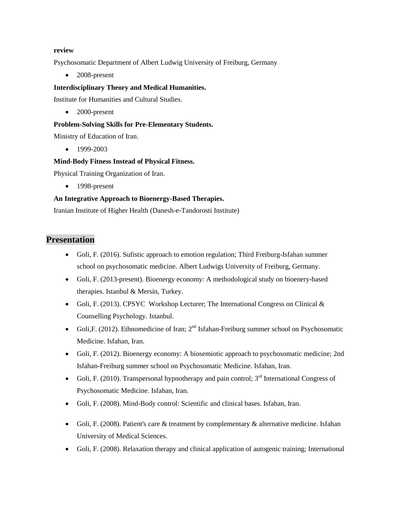#### **review**

Psychosomatic Department of Albert Ludwig University of Freiburg, Germany

 $\bullet$  2008-present

# **Interdisciplinary Theory and Medical Humanities.**

Institute for Humanities and Cultural Studies.

• 2000-present

# **Problem-Solving Skills for Pre-Elementary Students.**

Ministry of Education of Iran.

 $-1999-2003$ 

# **Mind-Body Fitness Instead of Physical Fitness.**

Physical Training Organization of Iran.

• 1998-present

# **An Integrative Approach to Bioenergy-Based Therapies.**

Iranian Institute of Higher Health (Danesh-e-Tandorosti Institute)

# **Presentation**

- Goli, F. (2016). Sufistic approach to emotion regulation; Third Freiburg-Isfahan summer school on psychosomatic medicine. Albert Ludwigs University of Freiburg, Germany.
- Goli, F. (2013-present). Bioenergy economy: A methodological study on bioenery-based therapies. Istanbul & Mersin, Turkey.
- Goli, F. (2013). CPSYC Workshop Lecturer; The International Congress on Clinical  $\&$ Counselling Psychology. Istanbul.
- Goli, F. (2012). Ethnomedicine of Iran;  $2<sup>nd</sup>$  Isfahan-Freiburg summer school on Psychosomatic Medicine. Isfahan, Iran.
- Goli, F. (2012). Bioenergy economy: A biosemiotic approach to psychosomatic medicine; 2nd Isfahan-Freiburg summer school on Psychosomatic Medicine. Isfahan, Iran.
- Goli, F. (2010). Transpersonal hypnotherapy and pain control;  $3<sup>rd</sup>$  International Congress of Psychosomatic Medicine. Isfahan, Iran.
- Goli, F. (2008). Mind-Body control: Scientific and clinical bases. Isfahan, Iran.
- Goli, F. (2008). Patient's care  $&$  treatment by complementary  $&$  alternative medicine. Isfahan University of Medical Sciences.
- Goli, F. (2008). Relaxation therapy and clinical application of autogenic training; International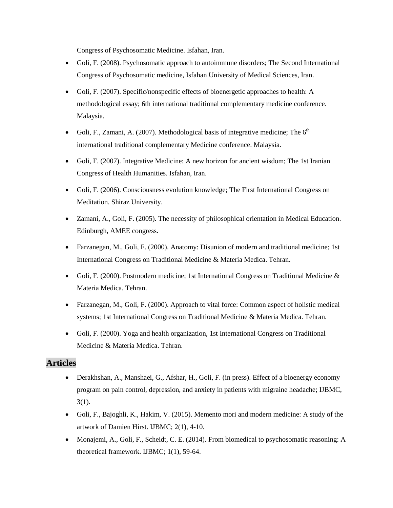Congress of Psychosomatic Medicine. Isfahan, Iran.

- Goli, F. (2008). Psychosomatic approach to autoimmune disorders; The Second International Congress of Psychosomatic medicine, Isfahan University of Medical Sciences, Iran.
- Goli, F. (2007). Specific/nonspecific effects of bioenergetic approaches to health: A methodological essay; 6th international traditional complementary medicine conference. Malaysia.
- Goli, F., Zamani, A. (2007). Methodological basis of integrative medicine; The  $6<sup>th</sup>$ international traditional complementary Medicine conference. Malaysia.
- Goli, F. (2007). Integrative Medicine: A new horizon for ancient wisdom; The 1st Iranian Congress of Health Humanities. Isfahan, Iran.
- Goli, F. (2006). Consciousness evolution knowledge; The First International Congress on Meditation. Shiraz University.
- Zamani, A., Goli, F. (2005). The necessity of philosophical orientation in Medical Education. Edinburgh, AMEE congress.
- Farzanegan, M., Goli, F. (2000). Anatomy: Disunion of modern and traditional medicine; 1st International Congress on Traditional Medicine & Materia Medica. Tehran.
- Goli, F. (2000). Postmodern medicine; 1st International Congress on Traditional Medicine & Materia Medica. Tehran.
- Farzanegan, M., Goli, F. (2000). Approach to vital force: Common aspect of holistic medical systems; 1st International Congress on Traditional Medicine & Materia Medica. Tehran.
- Goli, F. (2000). Yoga and health organization, 1st International Congress on Traditional Medicine & Materia Medica. Tehran.

# **Articles**

- Derakhshan, A., Manshaei, G., Afshar, H., Goli, F. (in press)[. Effect of a bioenergy economy](http://ijbmc.org/index.php/ijbmc/article/view/55)  program on [pain control, depression, and anxiety in patients with migraine headache;](http://ijbmc.org/index.php/ijbmc/article/view/55) IJBMC,  $3(1)$ .
- Goli, F., Bajoghli, K., Hakim, V. (2015). [Memento mori and modern medicine: A study of the](http://ijbmc.org/index.php/ijbmc/article/view/22)  artwork [of Damien Hirst.](http://ijbmc.org/index.php/ijbmc/article/view/22) IJBMC; 2(1), 4-10.
- Monajemi, A., Goli, F., Scheidt, C. E. (2014). [From biomedical to psychosomatic reasoning: A](http://ijbmc.org/index.php/ijbmc/article/view/3)  [theoretical framework.](http://ijbmc.org/index.php/ijbmc/article/view/3) IJBMC; 1(1), 59-64.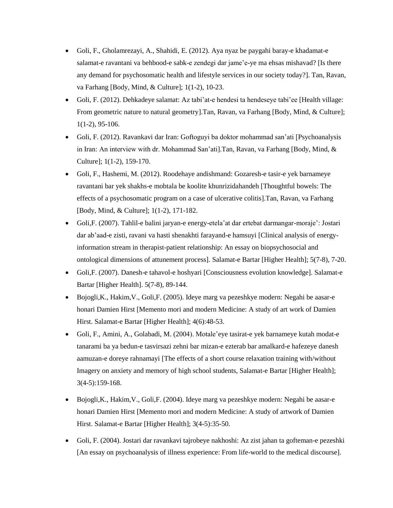- Goli, F., Gholamrezayi, A., Shahidi, E. (2012). Aya nyaz be paygahi baray-e khadamat-e salamat-e ravantani va behbood-e sabk-e zendegi dar jame'e-ye ma ehsas mishavad? [Is there any demand for psychosomatic health and lifestyle services in our society today?]. Tan, Ravan, va Farhang [Body, Mind, & Culture]; 1(1-2), 10-23.
- Goli, F. (2012). Dehkadeye salamat: Az tabi'at-e hendesi ta hendeseye tabi'ee [Health village: From geometric nature to natural geometry].Tan, Ravan, va Farhang [Body, Mind, & Culture]; 1(1-2), 95-106.
- Goli, F. (2012). Ravankavi dar Iran: Goftoguyi ba doktor mohammad san'ati [Psychoanalysis in Iran: An interview with dr. Mohammad San'ati].Tan, Ravan, va Farhang [Body, Mind, & Culture]; 1(1-2), 159-170.
- Goli, F., Hashemi, M. (2012). Roodehaye andishmand: Gozaresh-e tasir-e yek barnameye ravantani bar yek shakhs-e mobtala be koolite khunrizidahandeh [Thoughtful bowels: The effects of a psychosomatic program on a case of ulcerative colitis].Tan, Ravan, va Farhang [Body, Mind, & Culture]; 1(1-2), 171-182.
- Goli,F. (2007). Tahlil-e balini jaryan-e energy-etela'at dar ertebat darmangar-moraje': Jostari dar ab'aad-e zisti, ravani va hasti shenakhti farayand-e hamsuyi [Clinical analysis of energyinformation stream in therapist-patient relationship: An essay on biopsychosocial and ontological dimensions of attunement process]. Salamat-e Bartar [Higher Health]; 5(7-8), 7-20.
- Goli,F. (2007). Danesh-e tahavol-e hoshyari [Consciousness evolution knowledge]. Salamat-e Bartar [Higher Health]. 5(7-8), 89-144.
- Bojogli,K., Hakim,V., Goli,F. (2005). Ideye marg va pezeshkye modern: Negahi be aasar-e honari Damien Hirst [Memento mori and modern Medicine: A study of art work of Damien Hirst. Salamat-e Bartar [Higher Health]; 4(6):48-53.
- Goli, F., Amini, A., Golabadi, M. (2004). Motale'eye tasirat-e yek barnameye kutah modat-e tanarami ba ya bedun-e tasvirsazi zehni bar mizan-e ezterab bar amalkard-e hafezeye danesh aamuzan-e doreye rahnamayi [The effects of a short course relaxation training with/without Imagery on anxiety and memory of high school students, Salamat-e Bartar [Higher Health]; 3(4-5):159-168.
- Bojogli,K., Hakim,V., Goli,F. (2004). Ideye marg va pezeshkye modern: Negahi be aasar-e honari Damien Hirst [Memento mori and modern Medicine: A study of artwork of Damien Hirst. Salamat-e Bartar [Higher Health]; 3(4-5):35-50.
- Goli, F. (2004). Jostari dar ravankavi tajrobeye nakhoshi: Az zist jahan ta gofteman-e pezeshki [An essay on psychoanalysis of illness experience: From life-world to the medical discourse].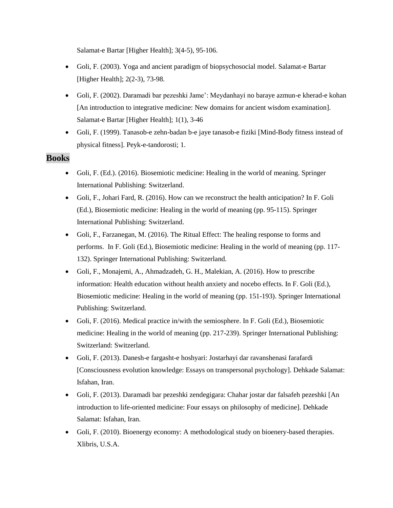Salamat-e Bartar [Higher Health]; 3(4-5), 95-106.

- Goli, F. (2003). Yoga and ancient paradigm of biopsychosocial model. Salamat-e Bartar [Higher Health]; 2(2-3), 73-98.
- Goli, F. (2002). Daramadi bar pezeshki Jame': Meydanhayi no baraye azmun-e kherad-e kohan [An introduction to integrative medicine: New domains for ancient wisdom examination]. Salamat-e Bartar [Higher Health]; 1(1), 3-46
- Goli, F. (1999). Tanasob-e zehn-badan b-e jaye tanasob-e fiziki [Mind-Body fitness instead of physical fitness]. Peyk-e-tandorosti; 1.

# **Books**

- Goli, F. (Ed.). (2016). Biosemiotic medicine: Healing in the world of meaning. Springer International Publishing: Switzerland.
- Goli, F., Johari Fard, R. (2016). How can we reconstruct the health anticipation? In F. Goli (Ed.), Biosemiotic medicine: Healing in the world of meaning (pp. 95-115). Springer International Publishing: Switzerland.
- Goli, F., Farzanegan, M. (2016). The Ritual Effect: The healing response to forms and performs. In F. Goli (Ed.), Biosemiotic medicine: Healing in the world of meaning (pp. 117- 132). Springer International Publishing: Switzerland.
- Goli, F., Monajemi, A., Ahmadzadeh, G. H., Malekian, A. (2016)[. How to prescribe](http://link.springer.com/chapter/10.1007/978-3-319-35092-9_7)  [information: Health education without health anxiety and nocebo effects.](http://link.springer.com/chapter/10.1007/978-3-319-35092-9_7) In F. Goli (Ed.), Biosemiotic medicine: Healing in the world of meaning (pp. 151-193). Springer International Publishing: Switzerland.
- Goli, F. (2016). [Medical practice in/with the semiosphere.](http://link.springer.com/chapter/10.1007/978-3-319-35092-9_9) In F. Goli (Ed.), Biosemiotic medicine: Healing in the world of meaning (pp. 217-239). Springer International Publishing: Switzerland: Switzerland.
- Goli, F. (2013). Danesh-e fargasht-e hoshyari: Jostarhayi dar ravanshenasi farafardi [Consciousness evolution knowledge: Essays on transpersonal psychology]. Dehkade Salamat: Isfahan, Iran.
- Goli, F. (2013). Daramadi bar pezeshki zendegigara: Chahar jostar dar falsafeh pezeshki [An introduction to life-oriented medicine: Four essays on philosophy of medicine]. Dehkade Salamat: Isfahan, Iran.
- Goli, F. (2010). Bioenergy economy: A methodological study on bioenery-based therapies. Xlibris, U.S.A.